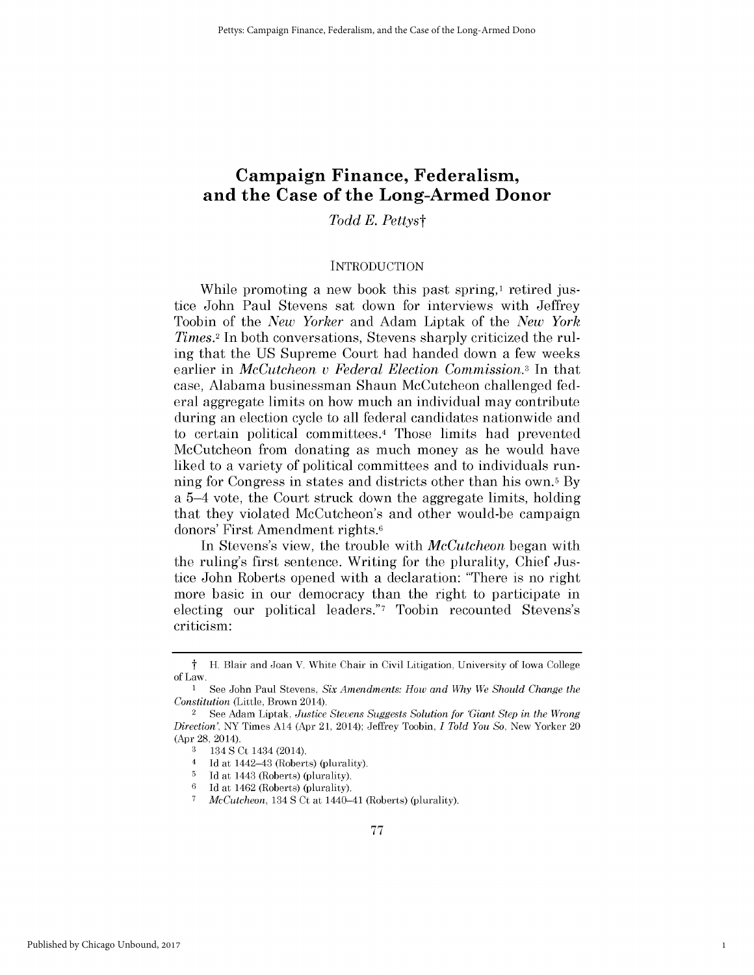# **Campaign Finance, Federalism, and the Case of the Long-Armed Donor**

*Todd E. Pettyst*

#### **INTRODUCTION**

While promoting a new book this past spring,<sup>1</sup> retired justice John Paul Stevens sat down for interviews with Jeffrey Toobin of the *New Yorker* and Adam Liptak of the *New York Times.2* In both conversations, Stevens sharply criticized the ruling that the **US** Supreme Court had handed down a few weeks earlier in *McCutcheon v Federal Election Commission.3* In that case, Alabama businessman Shaun McCutcheon challenged federal aggregate limits on how much an individual may contribute during an election cycle to all federal candidates nationwide and to certain political committees.4 Those limits had prevented McCutcheon from donating as much money as he would have liked to a variety of political committees and to individuals running for Congress in states and districts other than his own.5 **By** a 5-4 vote, the Court struck down the aggregate limits, holding that they violated McCutcheon's and other would-be campaign donors' First Amendment rights.6

In Stevens's view, the trouble with *McCutcheon* began with the ruling's first sentence. Writing for the plurality, Chief Justice John Roberts opened with a declaration: "There is no right more basic in our democracy than the right to participate in electing our political leaders."7 Toobin recounted Stevens's criticism:

1

t H. Blair and Joan V. White Chair in Civil Litigation, University of Iowa College of Law.

<sup>1</sup> See John Paul Stevens, *Six Amendments: How and Why We Should Change the Constitution* (Little, Brown 2014).

<sup>2</sup>See Adam Liptak, *Justice Stevens Suggests Solution for 'Giant Step in the Wrong Direction',* NY Times A14 (Apr 21, 2014); Jeffrey Toobin, *I Told You So,* New Yorker 20 (Apr **28,** 2014).

**<sup>3</sup>** 134 **S** Ct 1434 (2014).

<sup>4</sup>**Id** at 1442-43 (Roberts) (plurality).

 $\frac{5}{6}$  Id at 1443 (Roberts) (plurality).<br> $\frac{6}{6}$ Id at 1462 (Roberts) (plurality).

**<sup>6</sup>Id** at 1462 (Roberts) (plurality).

**<sup>7</sup>** *McCutcheon,* 134 **S** Ct at 1440-41 (Roberts) (plurality).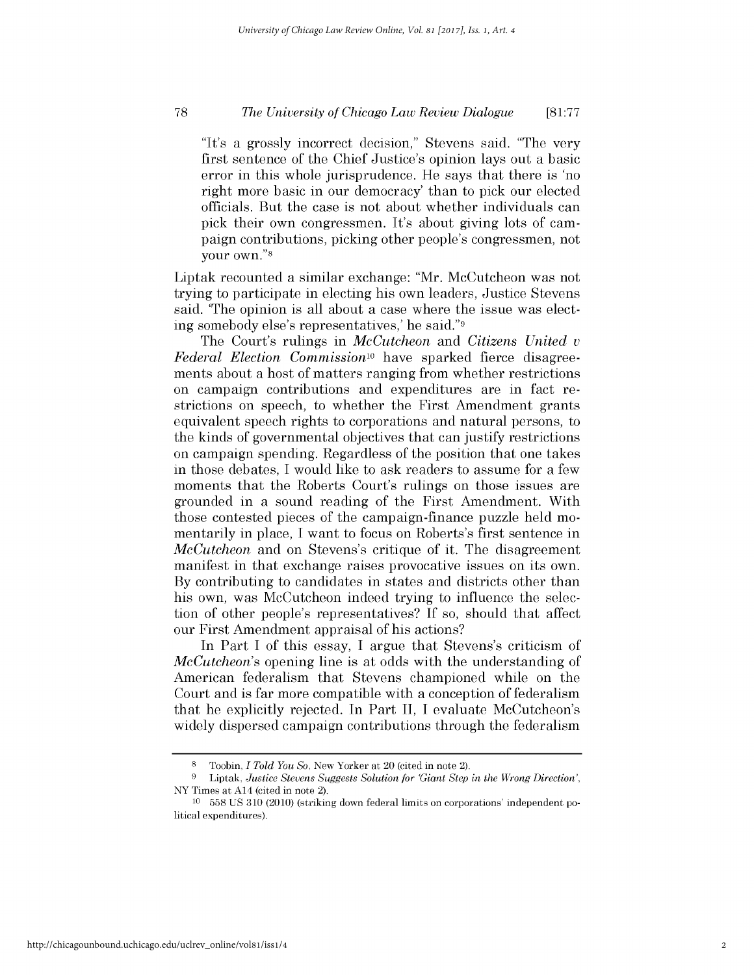#### *The University of Chicago Law Review Dialogue* **78 [81:77**

"It's a grossly incorrect decision," Stevens said. "The very first sentence of the Chief Justice's opinion lays out a basic error in this whole jurisprudence. He says that there is 'no right more basic in our democracy' than to **pick** our elected officials. But the case is not about whether individuals can **pick** their own congressmen. It's about giving lots of campaign contributions, picking other people's congressmen, not your own."8

Liptak recounted a similar exchange: "Mr. McCutcheon was not trying to participate in electing his own leaders, Justice Stevens said. 'The opinion is all about a case where the issue was electing somebody else's representatives,' he said."9

The Court's rulings in *McCutcheon and Citizens United v Federal Election Commission*<sup>10</sup> have sparked fierce disagreements about a host of matters ranging from whether restrictions on campaign contributions and expenditures are in fact restrictions on speech, to whether the First Amendment grants equivalent speech rights to corporations and natural persons, to the kinds of governmental objectives that can justify restrictions on campaign spending. Regardless of the position that one takes in those debates, **I** would like to ask readers to assume for a few moments that the Roberts Court's rulings on those issues are grounded in a sound reading of the First Amendment. With those contested pieces of the campaign-finance puzzle held momentarily in place, **I** want to focus on Roberts's first sentence in *McCutcheon* and on Stevens's critique of it. The disagreement manifest in that exchange raises provocative issues on its own. **By** contributing to candidates in states and districts other than his own, was McCutcheon indeed trying to influence the selection of other people's representatives? **If** so, should that affect our First Amendment appraisal of his actions?

In Part **I** of this essay, **I** argue that Stevens's criticism of *McCutcheon's* opening line is at odds with the understanding of American federalism that Stevens championed while on the Court and is far more compatible with a conception of federalism that he explicitly rejected. In Part **II,** I evaluate McCutcheon's widely dispersed campaign contributions through the federalism

**<sup>8</sup>** Toobin, *I Told You So,* New Yorker at 20 (cited in note 2).

**<sup>9</sup>** Liptak, *Justice Stevens Suggests Solution for 'Giant Step in the Wrong Direction',* NY Times at A14 (cited in note 2).

**<sup>10</sup> 558 US 310** (2010) (striking down federal limits on corporations' independent political expenditures).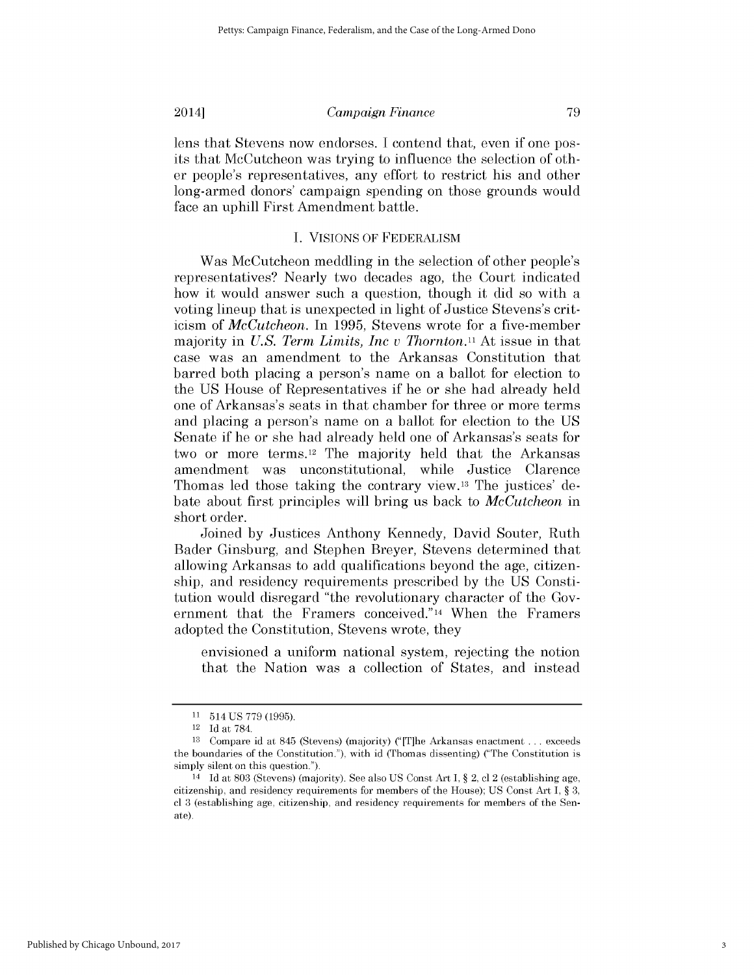lens that Stevens now endorses. **I** contend that, even **if** one posits that McCutcheon was trying to influence the selection of other people's representatives, any effort to restrict his and other long-armed donors' campaign spending on those grounds would face an uphill First Amendment battle.

#### **I. VISIONS** OF FEDERALISM

Was McCutcheon meddling in the selection of other people's representatives? Nearly two decades ago, the Court indicated how it would answer such a question, though it **did** so with a voting lineup that is unexpected in light of Justice Stevens's criticism of *McCutcheon.* In **1995,** Stevens wrote for a five-member majority in *U.S. Term Limits, Inc v Thornton.11* At issue in that case was an amendment to the Arkansas Constitution that barred both placing a person's name on a ballot for election to the **US** House of Representatives **if** he or she had already held one of Arkansas's seats in that chamber for three or more terms and placing a person's name on a ballot for election to the US Senate **if** he or she had already held one of Arkansas's seats for two or more terms. 12 The majority held that the Arkansas amendment was unconstitutional, while Justice Clarence Thomas led those taking the contrary view.13 The justices' debate about first principles will bring us back to *McCutcheon* in short order.

Joined **by** Justices Anthony Kennedy, David Souter, Ruth Bader Ginsburg, and Stephen Breyer, Stevens determined that allowing Arkansas to add qualifications beyond the age, citizenship, and residency requirements prescribed **by** the **US** Constitution would disregard "the revolutionary character of the Government that the Framers conceived."14 When the Framers adopted the Constitution, Stevens wrote, they

envisioned a uniform national system, rejecting the notion that the Nation was a collection of States, and instead

**<sup>11</sup>**514 **US 779 (1995).**

<sup>12</sup>**Id** at **784.**

**<sup>13</sup>** Compare id at 845 (Stevens) (majority) ("[T]he Arkansas enactment **...** exceeds the boundaries of the Constitution."), with id (Thomas dissenting) ("The Constitution is simply silent on this question.").

<sup>14</sup>**Id** at **803** (Stevens) (majority). See also **US** Const Art **I,** *§* 2, **cl** 2 (establishing age, citizenship, and residency requirements for members of the House); **US** Const Art **I,** *§* **3, cl 3** (establishing age, citizenship, and residency requirements for members of the Senate).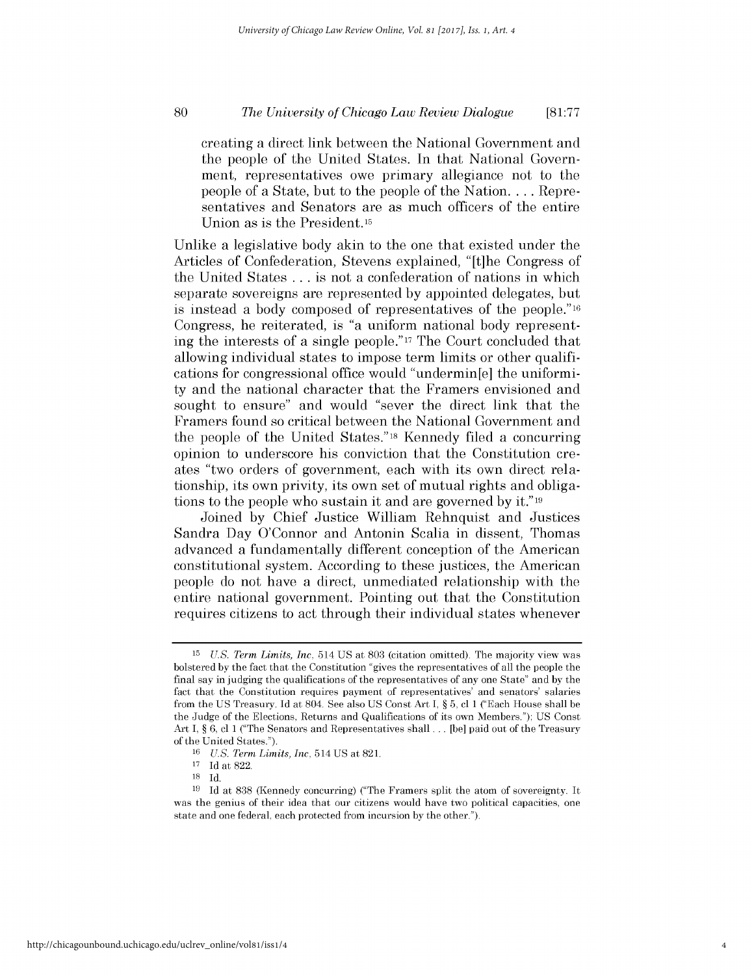#### *The University of Chicago Law Review Dialogue* **80 [81:77**

creating a direct link between the National Government and the people of the United States. In that National Government, representatives owe primary allegiance not to the people of a State, but to the people of the Nation. **. . .** Representatives and Senators are as much officers of the entire Union as *is* the President.15

Unlike a legislative body akin to the one that existed under the Articles of Confederation, Stevens explained, "[t]he Congress of the United States **.** . **.** is not a confederation of nations in which separate sovereigns are represented **by** appointed delegates, but is instead a body composed of representatives of the people."16 Congress, he reiterated, is "a uniform national body representing the interests of a single people."17 The Court concluded that allowing individual states to impose term limits or other qualifications for congressional office would "undermin[e] the uniformity and the national character that the Framers envisioned and sought to ensure" and would "sever the direct link that the Framers found so critical between the National Government and the people of the United States."18 Kennedy filed a concurring opinion to underscore his conviction that the Constitution creates "two orders of government, each with its own direct relationship, its own privity, its own set of mutual rights and obligations to the people who sustain it and are governed by it."19

Joined **by** Chief Justice William Rehnquist and Justices Sandra Day O'Connor and Antonin Scalia in dissent, Thomas advanced a fundamentally different conception of the American constitutional system. According to these justices, the American people do not have a direct, unmediated relationship with the entire national government. Pointing out that the Constitution requires citizens to act through their individual states whenever

**<sup>15</sup>***U.S. Term Limits, Inc,* 514 **US** at **803** (citation omitted). The majority view was bolstered **by** the fact that the Constitution "gives the representatives of all the people the final say in judging the qualifications of the representatives of any one State" and **by** the fact that the Constitution requires payment of representatives' and senators' salaries from the **US** Treasury. **Id** at 804. See also **US** Const Art **I,** *§* **5, cl 1** ("Each House shall be the Judge of the Elections, Returns and Qualifications of its own Members."); **US** Const Art **I,** *§* **6, cl 1** ("The Senators and Representatives shall **...** [be] paid out of the Treasury of the United States.").

*<sup>16</sup> U.S. Term Limits, Inc,* **514 US** at **821.**

**<sup>17</sup>Id** at **822.**

**<sup>18</sup> Id.**

**<sup>19</sup> Id** at **838** (Kennedy concurring) ("The Framers split the atom of sovereignty. It was the genius of their idea that our citizens would have two political capacities, one state and one federal, each protected from incursion **by** the other.").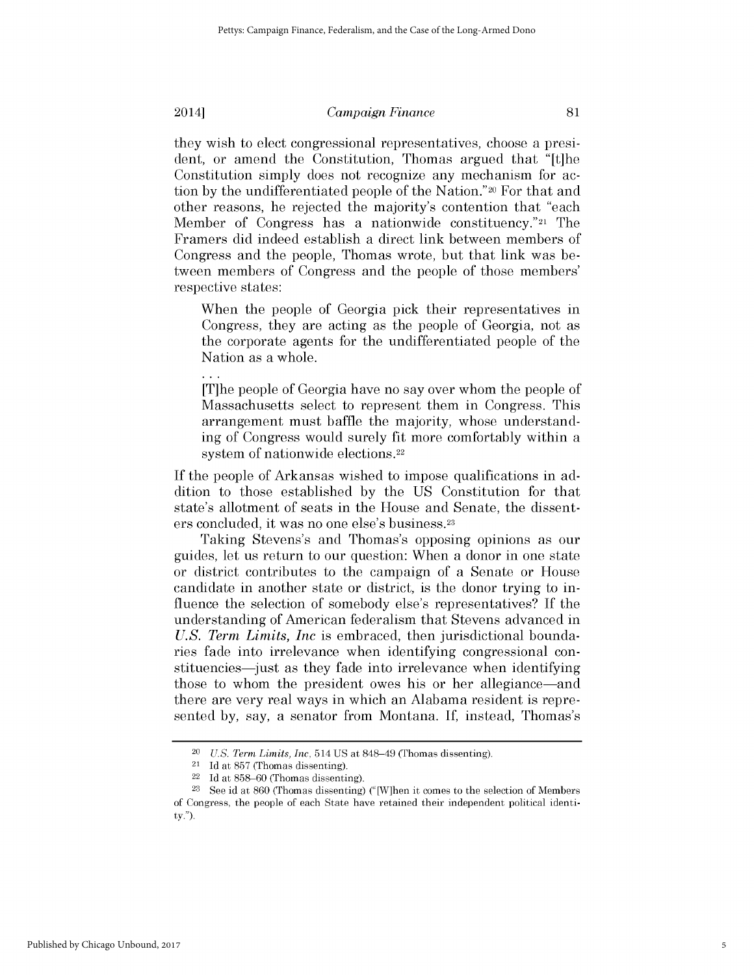they wish to elect congressional representatives, choose a president, or amend the Constitution, Thomas argued that "[t]he Constitution simply does not recognize any mechanism for action **by** the undifferentiated people of the Nation."20 For that and other reasons, he rejected the majority's contention that "each Member of Congress has a nationwide constituency."21 The Framers **did** indeed establish a direct link between members of

Congress and the people, Thomas wrote, but that link was between members of Congress and the people of those members' respective states:

When the people of Georgia **pick** their representatives in Congress, they are acting as the people of Georgia, not as the corporate agents for the undifferentiated people of the Nation as a whole.

[T]he people of Georgia have no say over whom the people of Massachusetts select to represent them in Congress. This arrangement must baffle the majority, whose understanding of Congress would surely fit more comfortably within a system of nationwide elections.<sup>22</sup>

**If** the people of Arkansas wished to impose qualifications in addition to those established **by** the **US** Constitution for that state's allotment of seats in the House and Senate, the dissenters concluded, it was no one else's business.23

Taking Stevens's and Thomas's opposing opinions as our guides, let us return to our question: When a donor in one state or district contributes to the campaign of a Senate or House candidate in another state or district, is the donor trying to influence the selection of somebody else's representatives? **If** the understanding of American federalism that Stevens advanced in *U.S. Term Limits, Inc* is embraced, then jurisdictional boundaries fade into irrelevance when identifying congressional constituencies—just as they fade into irrelevance when identifying those to whom the president owes his or her allegiance-and there are very real ways in which an Alabama resident is represented **by,** say, a senator from Montana. **If,** instead, Thomas's

<sup>20</sup>*U.S. Term Limits, Inc,* **514 US** at 848-49 (Thomas dissenting).

<sup>21</sup>**Id** at **857** (Thomas dissenting).

<sup>22</sup>**Id** at **858-60** (Thomas dissenting).

**<sup>23</sup>**See id at **860** (Thomas dissenting) ("[W]hen **it** comes to the selection of Members of Congress, the people of each State have retained their independent political identity.").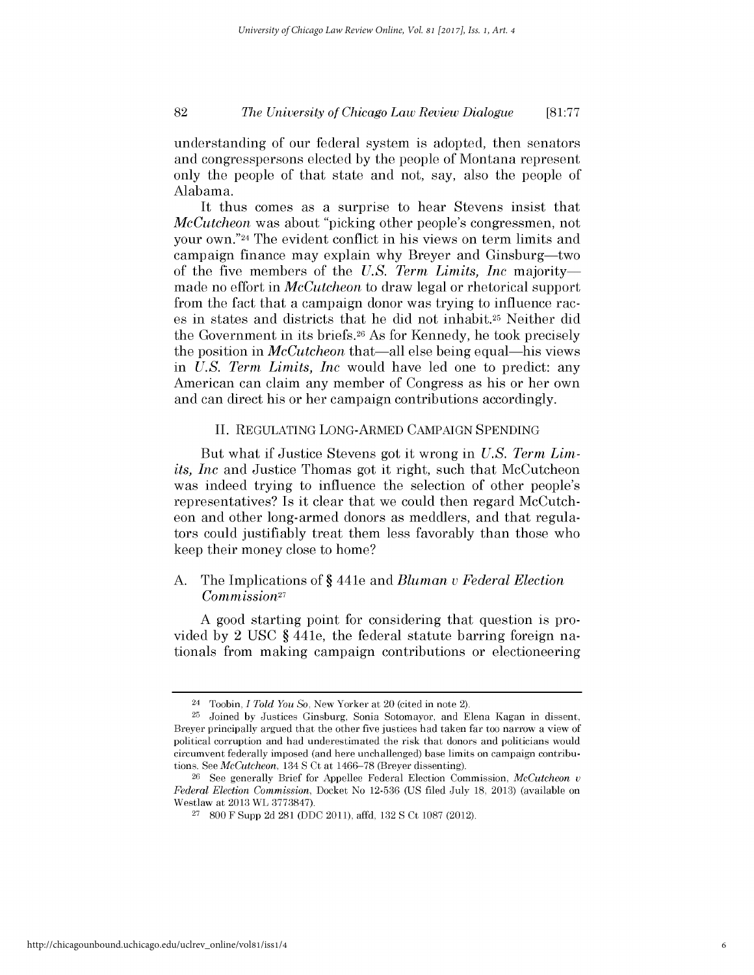#### *The University of Chicago Law Review Dialogue* **82 [81:77**

understanding of our federal system is adopted, then senators and congresspersons elected **by** the people of Montana represent only the people of that state and not, say, also the people of Alabama.

It thus comes as a surprise to hear Stevens insist that *McCutcheon* was about "picking other people's congressmen, not your own."24 The evident conflict in his views on term limits and campaign finance may explain why Breyer and Ginsburg-two of the five members of the *U.S. Term Limits, Inc* majoritymade no effort in *McCutcheon* to draw legal or rhetorical support from the fact that a campaign donor was trying to influence races in states and districts that he **did** not inhabit.25 Neither **did** the Government in its briefs.26 As for Kennedy, he took precisely the position in *McCutcheon* that-all else being equal-his views in *U.S. Term Limits, Inc* would have led one to predict: any American can claim any member of Congress as his or her own and can direct his or her campaign contributions accordingly.

#### **II. REGULATING LONG-ARMED CAMPAIGN SPENDING**

But what **if** Justice Stevens got it wrong in *U.S. Term Limits, Inc* and Justice Thomas got it right, such that McCutcheon was indeed trying to influence the selection of other people's representatives? Is it clear that we could then regard McCutcheon and other long-armed donors as meddlers, and that regulators could justifiably treat them less favorably than those who keep their money close to home?

### **A.** The Implications of **§** 441e and *Bluman u Federal Election Commission27*

**A** good starting point for considering that question is provided **by** 2 **USC §** 441e, the federal statute barring foreign nationals from making campaign contributions or electioneering

<sup>24</sup>Toobin, *I Told You So,* New Yorker at 20 (cited in note 2).

**<sup>25</sup>**Joined **by** Justices Ginsburg, Sonia Sotomayor, and Elena Kagan in dissent, Breyer principally argued that the other five justices had taken far too narrow a view of political corruption and had underestimated the risk that donors and politicians would circumvent federally imposed (and here unchallenged) base limits on campaign contributions. See *McCutcheon,* 134 **S** Ct at **1466-78** (Breyer dissenting).

**<sup>26</sup>See** generally Brief for Appellee Federal Election Commission, *McCutcheon u Federal Election Commission,* Docket No **12-536 (US** filed July **18, 2013)** (available on Westlaw at **2013** WL **3773847).**

**<sup>27</sup>800** F Supp **2d 281 (DDC** 2011), affd, **132 S** Ct **1087** (2012).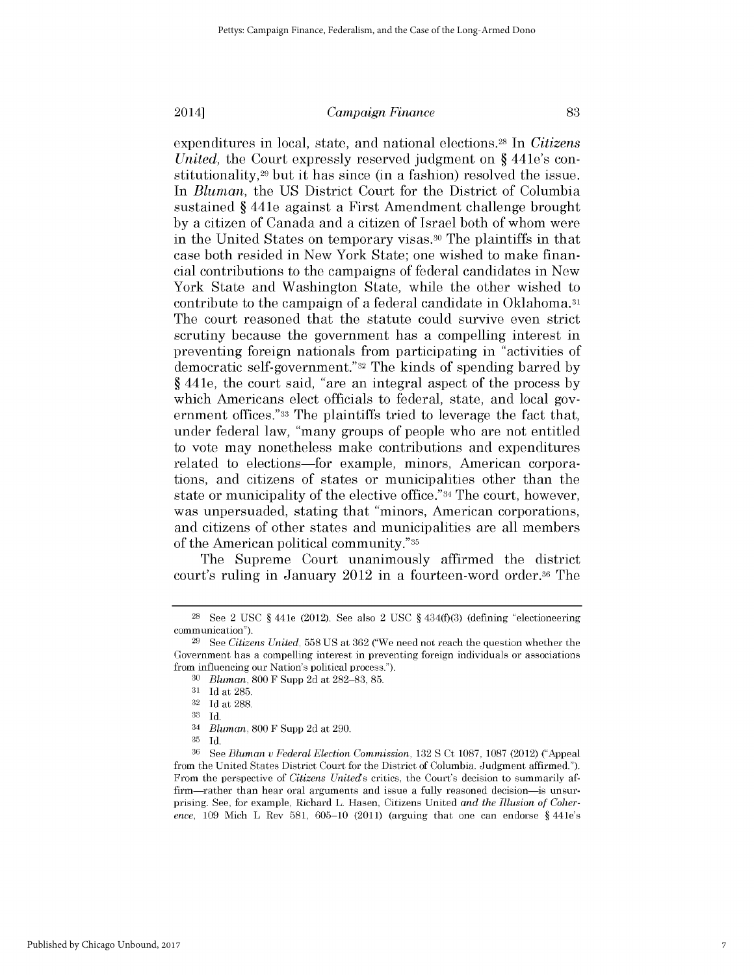expenditures in local, state, and national elections.28 In *Citizens United,* the Court expressly reserved judgment on **§** 441e's constitutionality,29 but it has since (in a fashion) resolved the issue. In *Bluman,* the **US** District Court for the District of Columbia sustained **§** 441e against a First Amendment challenge brought **by** a citizen of Canada and a citizen of Israel both of whom were in the United States on temporary visas. 30 The plaintiffs in that case both resided in New York State; one wished to make financial contributions to the campaigns of federal candidates in New York State and Washington State, while the other wished to contribute to the campaign of a federal candidate in Oklahoma.31 The court reasoned that the statute could survive even strict scrutiny because the government has a compelling interest in preventing foreign nationals from participating in "activities of democratic self-government."32 The kinds of spending barred **by §** 441e, the court said, "are an integral aspect of the process **by** which Americans elect officials to federal, state, and local government offices."33 The plaintiffs tried to leverage the fact that, under federal law, "many groups of people who are not entitled to vote may nonetheless make contributions and expenditures related to elections-for example, minors, American corporations, and citizens of states or municipalities other than the state or municipality of the elective office."34 The court, however, was unpersuaded, stating that "minors, American corporations, and citizens of other states and municipalities are all members of the American political community."35

The Supreme Court unanimously affirmed the district court's ruling in January 2012 in a fourteen-word order.36 The

**<sup>28</sup> See** 2 **USC** *§* 441e (2012). See also 2 **USC** *§* 434(f)(3) (defining "electioneering communication"). **29 See** *Citizens United,* **558 US** at **362** ("We need not reach the question whether the

Government has a compelling interest in preventing foreign individuals or associations from influencing our Nation's political process.").

**<sup>30</sup>***Bluman,* **800** F Supp **2d** at **282-83, 85.**

**<sup>31</sup> Id** at **285.**

**<sup>32</sup> Id** at **288.**

**<sup>33</sup> Id.**

<sup>34</sup>*Bluman,* **800** F Supp **2d** at **290.**

**<sup>35</sup> Id.**

**<sup>36</sup>**See *Bluman u Federal Election Commission,* **132 S** Ct **1087, 1087** (2012) ("Appeal from the United States District Court for the District of Columbia. Judgment affirmed."). From the perspective of *Citizens Uniteds* critics, the Court's decision to summarily affirm—rather than hear oral arguments and issue a fully reasoned decision—is unsurprising. See, for example, Richard L. Hasen, Citizens United *and the Illusion of Coherence,* **109** Mich L Rev **581, 605-10** (2011) (arguing that one can endorse *§* 441e's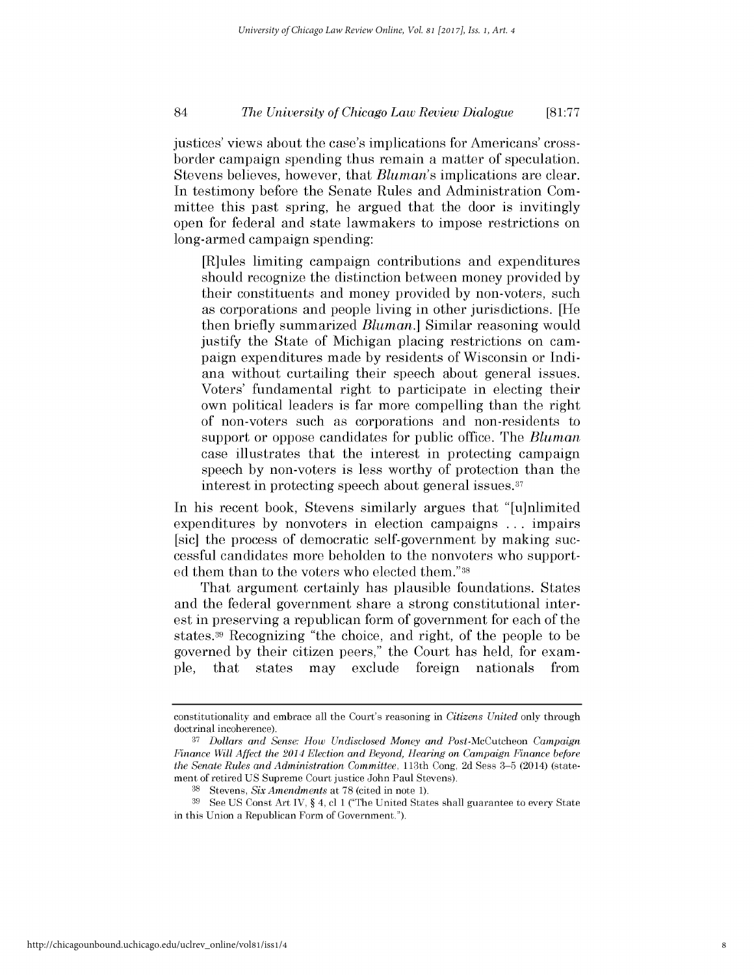#### *The University of Chicago Law Review Dialogue* 84 **[81:77**

justices' views about the case's implications for Americans' crossborder campaign spending thus remain a matter of speculation. Stevens believes, however, that *Bluman's* implications are clear. In testimony before the Senate Rules and Administration Committee this past spring, he argued that the door is invitingly open for federal and state lawmakers to impose restrictions on long-armed campaign spending:

[R]ules limiting campaign contributions and expenditures should recognize the distinction between money provided **by** their constituents and money provided **by** non-voters, such as corporations and people living in other jurisdictions. [He then briefly summarized *Bluman.]* Similar reasoning would justify the State of Michigan placing restrictions on campaign expenditures made **by** residents of Wisconsin or Indiana without curtailing their speech about general issues. Voters' fundamental right to participate in electing their own political leaders is far more compelling than the right of non-voters such as corporations and non-residents to support or oppose candidates for public office. The *Bluman* case illustrates that the interest in protecting campaign speech **by** non-voters *is less* worthy of protection than the interest in protecting speech about general issues. <sup>3</sup> 7

In his recent book, Stevens similarly argues that "[u]nlimited expenditures **by** nonvoters in election campaigns **...** impairs [sic] the process of democratic self-government **by** making successful candidates more beholden to the nonvoters who supported them than to the voters who elected them."38

That argument certainly has plausible foundations. States and the federal government share a strong constitutional interest in preserving a republican form of government for each of the states.39 Recognizing "the choice, and right, of the people to be governed **by** their citizen peers," the Court has held, for example, that states may exclude foreign nationals from

constitutionality and embrace all the Court's reasoning in *Citizens United* only through doctrinal incoherence).

**<sup>37</sup>***Dollars and Sense: How Undisclosed Money and* Post-McCutcheon *Campaign Finance Will Affect the 2014 Election and Beyond, Hearing on Campaign Finance before the Senate Rules and Administration Committee,* 113th Cong, **2d** Sess **3-5** (2014) (statement of retired **US** Supreme Court justice John Paul Stevens).

**<sup>38</sup>**Stevens, *Six Amendments* at **78** (cited in note **1).**

**<sup>39</sup>**See **US** Const Art IV, *§ 4,* **cl 1** ("The United States shall guarantee to every State in this Union a Republican Form of Government.").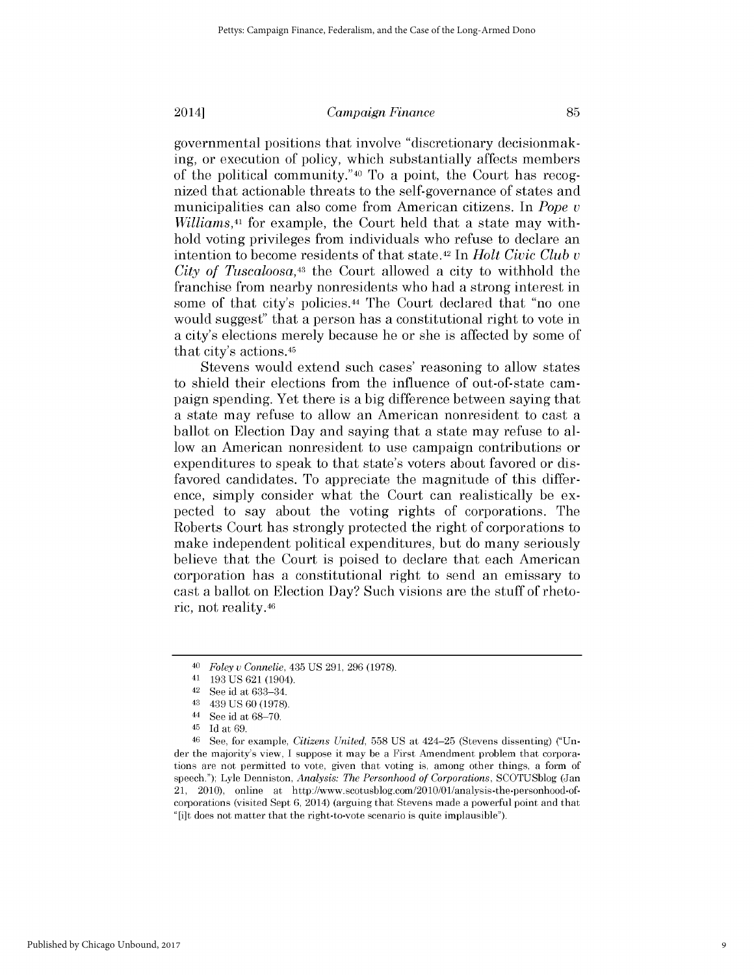governmental positions that involve "discretionary decisionmaking, or execution of policy, which substantially affects members of the political community."40 To a point, the Court has recognized that actionable threats to the self-governance of states and municipalities can also come from American citizens. In *Pope v Williams,41* for example, the Court held that a state may withhold voting privileges from individuals who refuse to declare an intention to become residents of that state. 42 In *Holt Civic Club v City of Tuscaloosa,43* the Court allowed a city to withhold the franchise from nearby nonresidents who had a strong interest in some of that city's policies.44 The Court declared that "no one would suggest" that a person has a constitutional right to vote in a city's elections merely because he or she is affected **by** some of that city's actions.45

Stevens would extend such cases' reasoning to allow states to shield their elections from the influence of out-of-state campaign spending. Yet there is a **big** difference between saying that a state may refuse to allow an American nonresident to cast a ballot on Election Day and saying that a state may refuse to allow an American nonresident to use campaign contributions or expenditures to speak to that state's voters about favored or **dis**favored candidates. To appreciate the magnitude of this difference, simply consider what the Court can realistically be expected to say about the voting rights of corporations. The Roberts Court has strongly protected the right of corporations to make independent political expenditures, but do many seriously believe that the Court is poised to declare that each American corporation has a constitutional right to send an emissary to cast a ballot on Election Day? Such visions are the stuff of rhetoric, not reality.46

**<sup>40</sup>***Foley u Connelie,* 435 **US 291, 296 (1978).**

**<sup>41 193</sup> US 621** (1904).

**<sup>42</sup> See** id at **633-34.**

<sup>43 439</sup> **US 60 (1978).**

<sup>44</sup>**See** id at **68-70.**

<sup>45</sup>**Id** at **69.**

**<sup>46</sup> See,** for example, *Citizens United,* **558 US** at 424-25 (Stevens dissenting) ("Under the majority's view, **I** suppose it may be a First Amendment problem that corporations are not permitted to vote, given that voting is, among other things, a form of speech."); Lyle Denniston, *Analysis: The Personhood of Corporations,* **SCOTUSblog** (Jan 21, 2010), online at http://www.scotusblog.com/2010/01/analysis-the-personhood-ofcorporations (visited Sept **6,** 2014) (arguing that Stevens made a powerful point and that "[i]t does not matter that the right-to-vote scenario is quite implausible").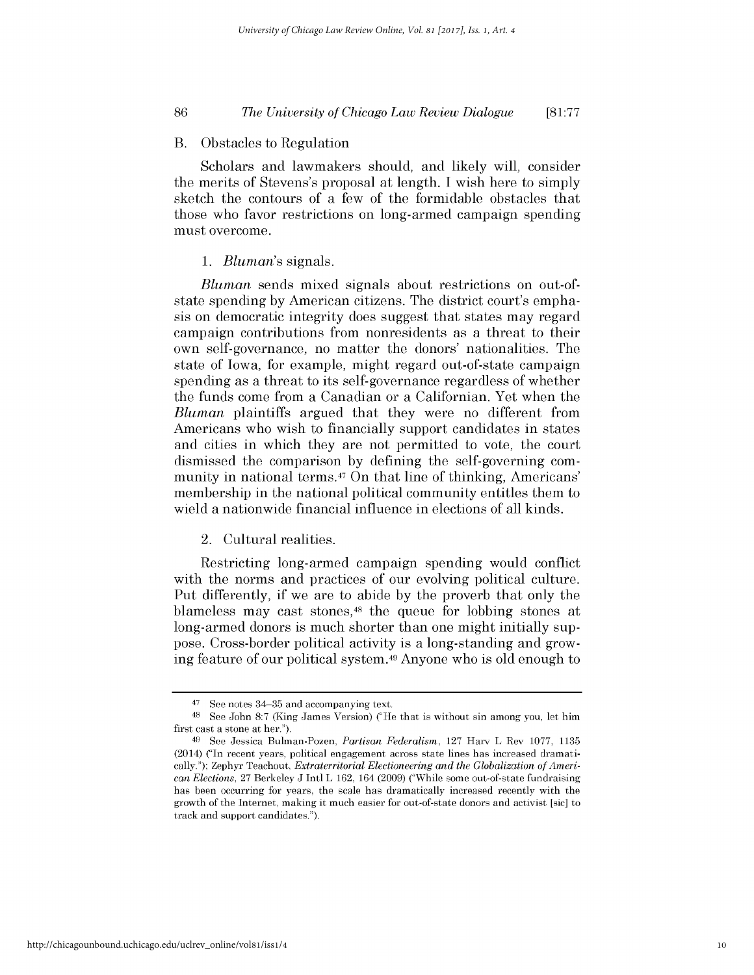#### *The University of Chicago Law Review Dialogue* **86 [81:77**

#### B. Obstacles to Regulation

Scholars and lawmakers should, and likely will, consider the merits of Stevens's proposal at length. **I** wish here to simply sketch the contours of a few of the formidable obstacles that those who favor restrictions on long-armed campaign spending must overcome.

#### *1. Bluman's* signals.

*Bluman* sends mixed signals about restrictions on out-ofstate spending **by** American citizens. The district court's empha*sis* on democratic integrity does suggest that states may regard campaign contributions from nonresidents as a threat to their own self-governance, no matter the donors' nationalities. The state of Iowa, for example, might regard out-of-state campaign spending as a threat to its self-governance regardless of whether the funds come from a Canadian or a Californian. Yet when the *Bluman* plaintiffs argued that they were no different from Americans who wish to financially support candidates in states and cities in which they are not permitted to vote, the court dismissed the comparison **by** defining the self-governing community in national terms.47 On that line of thinking, Americans' membership in the national political community entitles them to wield a nationwide financial influence in elections of all kinds.

#### 2. Cultural realities.

Restricting long-armed campaign spending would conflict with the norms and practices of our evolving political culture. Put differently, **if** we are to abide **by** the proverb that only the blameless may cast stones, 48 the queue for lobbing stones at long-armed donors is much shorter than one might initially suppose. Cross-border political activity is a long-standing and growing feature of our political system. 49 Anyone who is old enough to

<sup>47</sup>**See** notes 34-35 and accompanying text.

**<sup>48</sup>**See John **8:7** (King James Version) ("He that is without sin among you, let him first cast a stone at her.").

**<sup>49</sup>**See Jessica Bulman-Pozen, *Partisan Federalism,* **127** Harv L Rev **1077, 1135** (2014) ("In recent years, political engagement across state lines has increased dramatically."); Zephyr Teachout, *Extraterritorial Electioneering and the Globalization of American Elections,* **27** Berkeley **J** Intl L **162,** 164 **(2009)** ("While some out-of-state fundraising has been occurring for years, the scale has dramatically increased recently with the growth of the Internet, making **it** much easier for out-of-state donors and activist [sic] to track and support candidates.").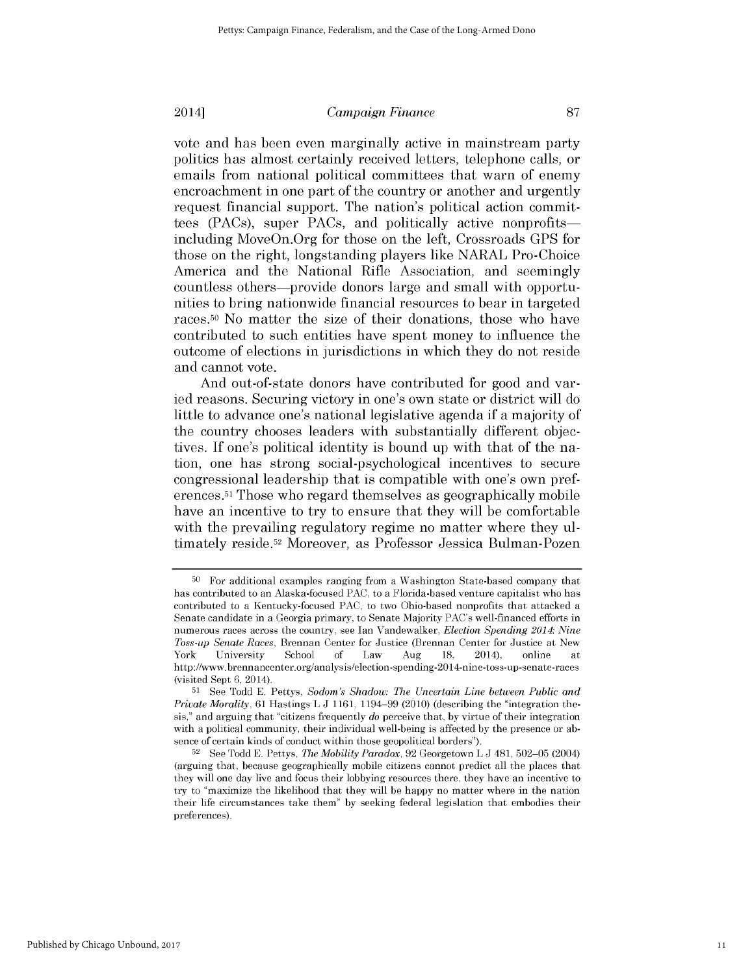vote and has been even marginally active in mainstream party politics has almost certainly received letters, telephone calls, or emails from national political committees that warn of enemy encroachment in one part of the country or another and urgently request financial support. The nation's political action committees (PACs), super PACs, and politically active nonprofitsincluding MoveOn.Org for those on the left, Crossroads **GPS** for those on the right, longstanding players like NARAL Pro-Choice America and the National Rifle Association, and seemingly countless others-provide donors large and small with opportunities to bring nationwide financial resources to bear in targeted races.50 No matter the size of their donations, those who have contributed to such entities have spent money to influence the outcome of elections in jurisdictions in which they do not reside and cannot vote.

And out-of-state donors have contributed for good and varied reasons. Securing victory in one's own state or district will do little to advance one's national legislative agenda **if** a majority of the country chooses leaders with substantially different objectives. **If** one's political identity is bound up with that of the nation, one has strong social-psychological incentives to secure congressional leadership that is compatible with one's own preferences. 51 Those who regard themselves as geographically mobile have an incentive to try to ensure that they will be comfortable with the prevailing regulatory regime no matter where they ultimately reside.52 Moreover, as Professor Jessica Bulman-Pozen

**<sup>50</sup>**For additional examples ranging from a Washington State-based company that has contributed to an Alaska-focused **PAC,** to a Florida-based venture capitalist who has contributed to a Kentucky-focused **PAC,** to two Ohio-based nonprofits that attacked a Senate candidate in a Georgia primary, to Senate Majority PAC's well-financed efforts in numerous races across the country, see Ian Vandewalker, *Election Spending 2014: Nine Toss-up Senate Races,* Brennan Center for Justice (Brennan Center for Justice at New York University School **of** Law Aug **18,** 2014), online at http://www.brennancenter.org/analysis/election-spending-2014-nine-toss-up-senate-races (visited Sept **6,** 2014).

**<sup>51</sup>**See Todd **E.** Pettys, *Sodom's Shadow: The Uncertain Line between Public and Private Morality,* **61** Hastings L **J 1161,** 1194-99 (2010) (describing the "integration thesis," and arguing that "citizens frequently *do* perceive that, **by** virtue of their integration with a political community, their individual well-being is affected **by** the presence or absence of certain kinds of conduct within those geopolitical borders").

**<sup>52</sup> See** Todd **E.** Pettys, *The Mobility Paradox,* **92** Georgetown L **J** 481, **502-05** (2004) (arguing that, because geographically mobile citizens cannot predict all the places that they will one day live and focus their lobbying resources there, they have an incentive to try to "maximize the likelihood that they will be happy no matter where in the nation their life circumstances take them" **by** seeking federal legislation that embodies their preferences).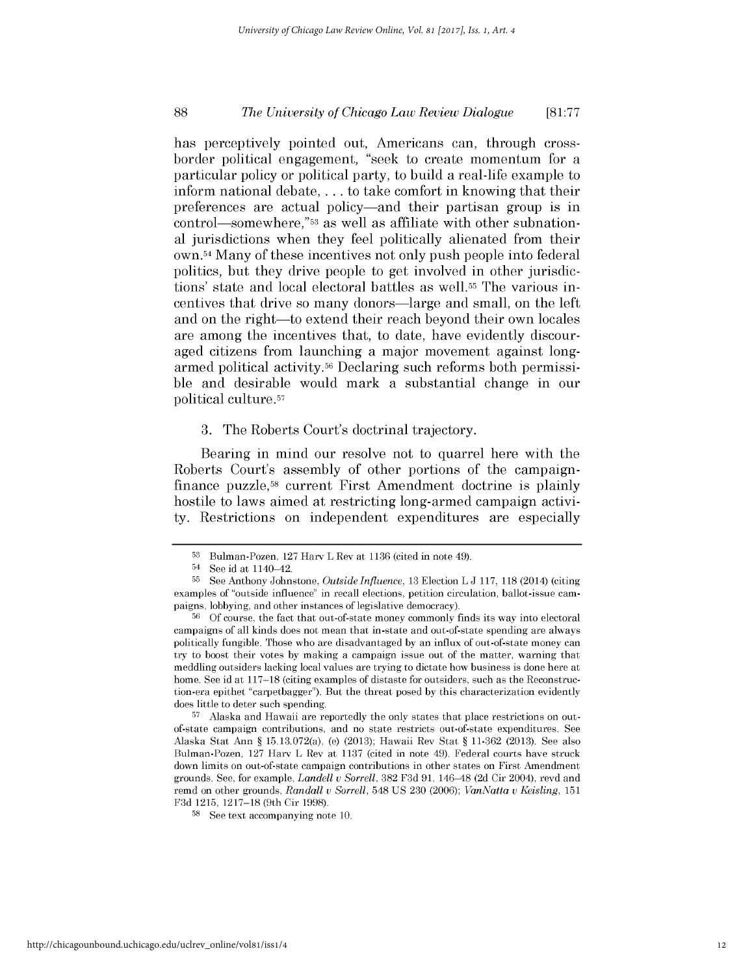#### *The University of Chicago Law Review Dialogue* **88 [81:77**

has perceptively pointed out, Americans can, through crossborder political engagement, "seek to create momentum for a particular policy or political party, to build a real-life example to inform national debate, . . **.** to take comfort in knowing that their preferences are actual policy-and their partisan group is in control-somewhere,"53 as well as affiliate with other subnational jurisdictions when they feel politically alienated from their own. 54 Many of these incentives not only push people into federal politics, but they drive people to get involved in other jurisdictions' state and local electoral battles as well.55 The various incentives that drive so many donors-large and small, on the left and on the right-to extend their reach beyond their own locales are among the incentives that, to date, have evidently discouraged citizens from launching a major movement against longarmed political activity.56 Declaring such reforms both permissible and desirable would mark a substantial change in our political culture.57

#### **3.** The Roberts Court's doctrinal trajectory.

Bearing in mind our resolve not to quarrel here with the Roberts Court's assembly of other portions of the campaignfinance puzzle,58 current First Amendment doctrine is plainly hostile to laws aimed at restricting long-armed campaign activity. Restrictions on independent expenditures are especially

**57** Alaska and Hawaii are reportedly the only states that place restrictions on outof-state campaign contributions, and no state restricts out-of-state expenditures. See Alaska Stat Ann *§* 15.13.072(a), (e) **(2013);** Hawaii Rev Stat *§* **11-362 (2013).** See also Bulman-Pozen, **127** Harv L Rev at **1137** (cited in note 49). Federal courts have struck down limits on out-of-state campaign contributions in other states on First Amendment grounds. See, for example, *Landell v Sorrell,* **382 F3d 91,** 146-48 **(2d** Cir 2004), revd and remd on other grounds, *Randall v Sorrell,* 548 **US 230 (2006);** *VanNatta v Keisling, 151* **F3d 1215, 1217-18** (9th Cir **1998).**

**<sup>53</sup>**Bulman-Pozen, **127** Harv L Rev at **1136** (cited in note 49).

<sup>54</sup>**See** id at 1140-42.

**<sup>55</sup>**See Anthony Johnstone, *Outside Influence,* **13** Election L **J 117, 118** (2014) (citing examples of "outside influence" in recall elections, petition circulation, ballot-issue campaigns, lobbying, and other instances of legislative democracy).

**<sup>56</sup> Of** course, the fact that out-of-state money commonly finds its way into electoral campaigns of all kinds does not mean that in-state and out-of-state spending are always politically fungible. Those who are disadvantaged **by** an influx of out-of-state money can try to boost their votes **by** making a campaign issue out of the matter, warning that meddling outsiders lacking local values are trying to dictate how business is done here at home. See id at **117-18** (citing examples of distaste for outsiders, such as the Reconstruction-era epithet "carpetbagger"). But the threat posed **by** this characterization evidently does little to deter such spending.

**<sup>58</sup> See** text accompanying note **10.**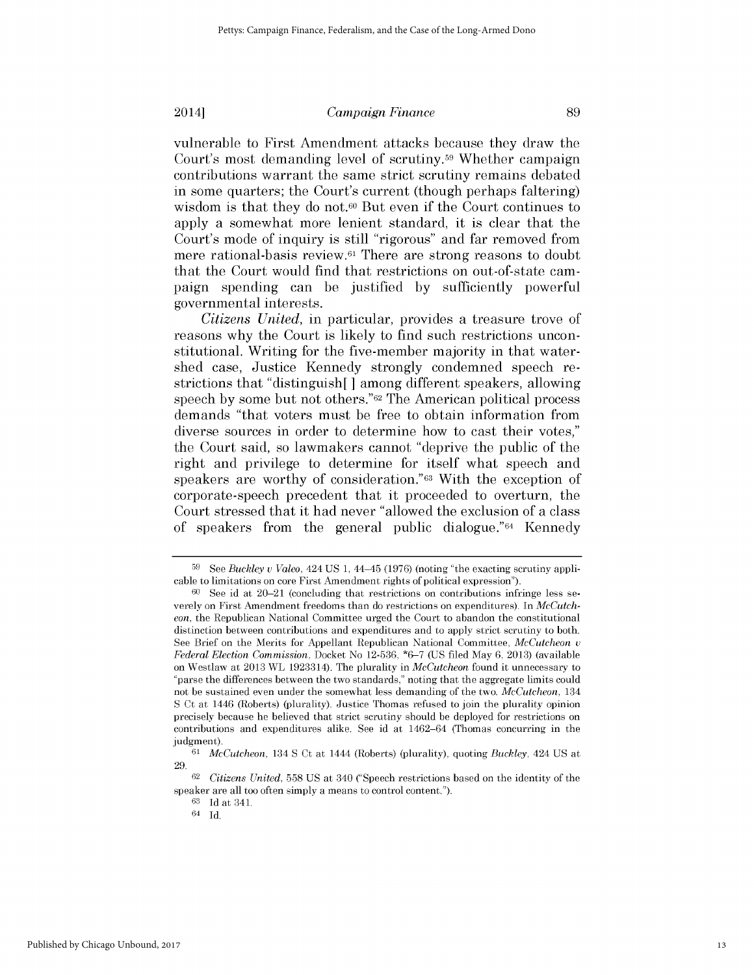vulnerable to First Amendment attacks because they draw the Court's most demanding level of scrutiny.<sup>59</sup> Whether campaign contributions warrant the same strict scrutiny remains debated in some quarters; the Court's current (though perhaps faltering) wisdom is that they do not.<sup>60</sup> But even if the Court continues to apply a somewhat more lenient standard, it is clear that the Court's mode of inquiry *is still* "rigorous" and far removed from mere rational-basis review. 61 There are strong reasons to doubt that the Court would find that restrictions on out-of-state campaign spending can be justified **by** sufficiently powerful governmental interests.

*Citizens United,* in particular, provides a treasure trove of reasons why the Court is likely to find such restrictions unconstitutional. Writing for the five-member majority in that watershed case, Justice Kennedy strongly condemned speech restrictions that "distinguish[ **]** among different speakers, allowing speech **by** some but not others."62 The American political process demands "that voters must be free to obtain information from diverse sources in order to determine how to cast their votes," the Court said, so lawmakers cannot "deprive the public of the right and privilege to determine for itself what speech and speakers are worthy of consideration."63 With the exception of corporate-speech precedent that it proceeded to overturn, the Court stressed that it had never "allowed the exclusion of a class of speakers from the general public dialogue."64 Kennedy

**<sup>59</sup> See** *Buckley u Valeo,* 424 **US 1,** 44-45 **(1976)** (noting "the exacting scrutiny applicable to limitations on core First Amendment rights of political expression").

**<sup>60</sup>** See id at 20-21 (concluding that restrictions on contributions infringe less severely on First Amendment freedoms than do restrictions on expenditures). In *McCutcheon,* the Republican National Committee urged the Court to abandon the constitutional distinction between contributions and expenditures and to apply strict scrutiny to both. See Brief on the Merits for Appellant Republican National Committee, *McCutcheon* a *Federal Election Commission,* Docket No **12-536, \*6-7 (US** filed May **6, 2013)** (available on Westlaw at **2013** WL 1923314). The plurality in *McCutcheon* found it unnecessary to "parse the differences between the two standards," noting that the aggregate limits could not be sustained even under the somewhat less demanding of the two. *McCutcheon, 134* **S** Ct at 1446 (Roberts) (plurality). Justice Thomas refused to join the plurality opinion precisely because he believed that strict scrutiny should be deployed for restrictions on contributions and expenditures alike. See id at 1462-64 (Thomas concurring in the judgment).

*<sup>61</sup>McCutcheon,* 134 **S** Ct at 1444 (Roberts) (plurality), quoting *Buckley,* 424 **US** at **29.**

*<sup>62</sup>Citizens United,* **558 US** at 340 ("Speech restrictions based on the identity of the speaker are all too often simply a means to control content.").

**<sup>63</sup> Id** at **341.**

<sup>64</sup> **Id.**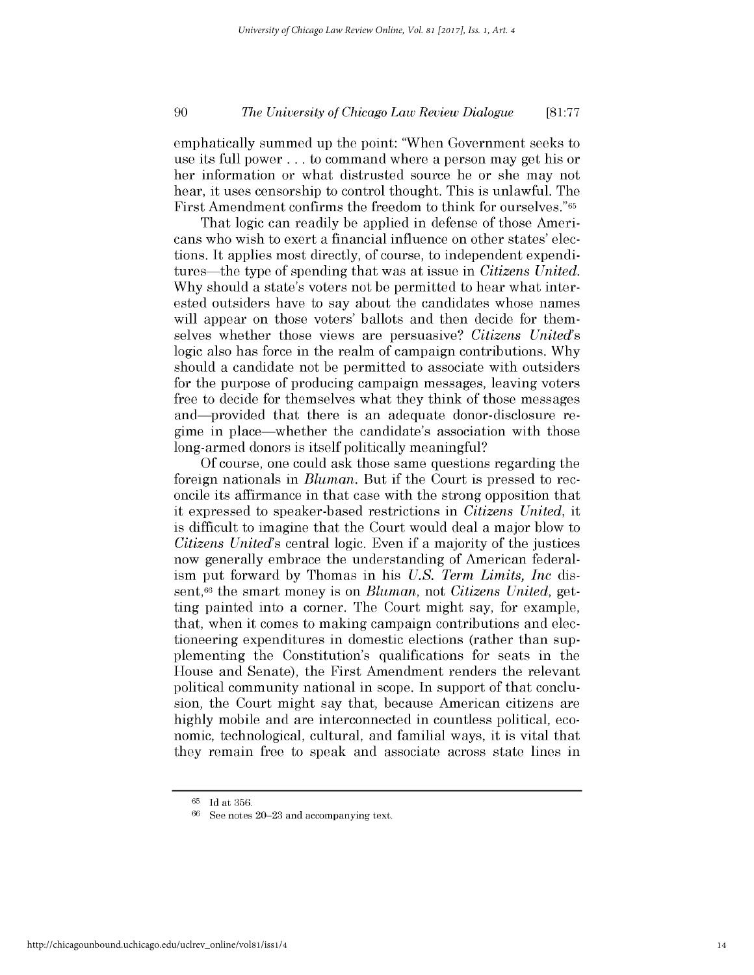#### *The University of Chicago Law Review Dialogue* **90 [81:77**

emphatically summed up the point: "When Government seeks to use its full power **.** . **.** to command where a person may get his or her information or what distrusted source he or she may not hear, it uses censorship to control thought. This is unlawful. The First Amendment confirms the freedom to think for ourselves."65

That logic can readily be applied in defense of those Americans who wish to exert a financial influence on other states' elections. It applies most directly, of course, to independent expenditures-the type of spending that was at issue in *Citizens United.* **Why** should a state's voters not be permitted to hear what interested outsiders have to say about the candidates whose names will appear on those voters' ballots and then decide for themselves whether those views are persuasive? *Citizens United's* logic also has force in the realm of campaign contributions. **Why** should a candidate not be permitted to associate with outsiders for the purpose of producing campaign messages, leaving voters free to decide for themselves what they think of those messages and—provided that there is an adequate donor-disclosure regime in place-whether the candidate's association with those long-armed donors is itself politically meaningful?

**Of** course, one could ask those same questions regarding the foreign nationals in *Bluman.* But **if** the Court is pressed to reconcile its affirmance in that case with the strong opposition that it expressed to speaker-based restrictions in *Citizens United, it* is difficult to imagine that the Court would deal a major blow to *Citizens United's* central logic. Even **if** a majority of the justices now generally embrace the understanding of American federalism put forward **by** Thomas in *his U.S. Term Limits, Inc* **dis**sent,<sup>66</sup> the smart money is on *Bluman*, not *Citizens United*, getting painted into a corner. The Court might say, for example, that, when it comes to making campaign contributions and electioneering expenditures in domestic elections (rather than supplementing the Constitution's qualifications for seats in the House and Senate), the First Amendment renders the relevant political community national in scope. In support of that conclusion, the Court might say that, because American citizens are highly mobile and are interconnected in countless political, economic, technological, cultural, and familial ways, it is vital that they remain free to speak and associate across state lines in

**<sup>65</sup> Id** at **356.**

**<sup>66</sup> See** notes **20-23** and accompanying text.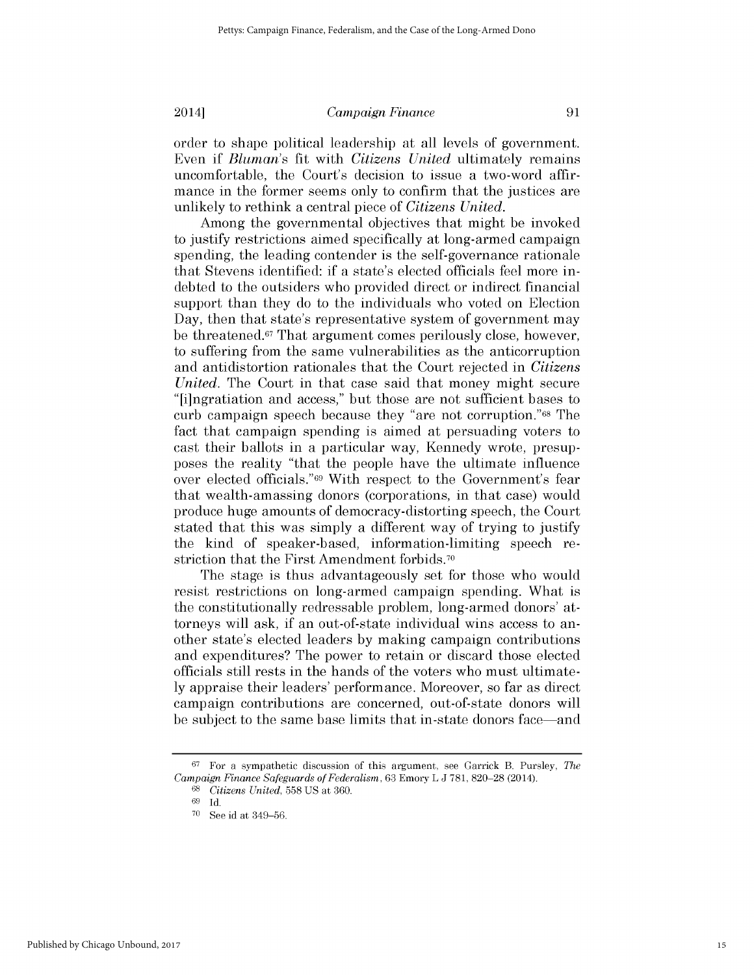order to shape political leadership at all levels of government. Even **if** *Bluman's* fit with *Citizens United* ultimately remains uncomfortable, the Court's decision to issue a two-word affirmance in the former seems only to confirm that the justices are unlikely to rethink a central piece of *Citizens United.*

Among the governmental objectives that might be invoked to justify restrictions aimed specifically at long-armed campaign spending, the leading contender is the self-governance rationale that Stevens identified: **if** a state's elected officials feel more indebted to the outsiders who provided direct or indirect financial support than they do to the individuals who voted on Election Day, then that state's representative system of government may be threatened.67 That argument comes perilously close, however, to suffering from the same vulnerabilities as the anticorruption and antidistortion rationales that the Court rejected in *Citizens United.* The Court in that case said that money might secure "[i]ngratiation and access," but those are not sufficient bases to curb campaign speech because they "are not corruption."68 The fact that campaign spending is aimed at persuading voters to cast their ballots in a particular way, Kennedy wrote, presupposes the reality "that the people have the ultimate influence over elected officials."69 With respect to the Government's fear that wealth-amassing donors (corporations, in that case) would produce huge amounts of democracy-distorting speech, the Court stated that this was simply a different way of trying to justify the kind of speaker-based, information-limiting speech restriction that the First Amendment forbids.<sup>70</sup>

The stage is thus advantageously set for those who would resist restrictions on long-armed campaign spending. What **is** the constitutionally redressable problem, long-armed donors' attorneys will ask, **if** an out-of-state individual wins access to another state's elected leaders **by** making campaign contributions and expenditures? The power to retain or discard those elected officials *still rests* in the hands of the voters who must ultimate**ly** appraise their leaders' performance. Moreover, so far as direct campaign contributions are concerned, out-of-state donors will be subject to the same base limits that in-state donors face-and

**<sup>67</sup>**For a sympathetic discussion of this argument, see Garrick B. Pursley, *The Campaign Finance Safeguards of Federalism,* **63** Emory L **J 781, 820-28** (2014).

**<sup>68</sup>***Citizens United,* **558 US** at **360.**

**<sup>69</sup>Id.**

**<sup>70</sup>**See id at **349-56.**